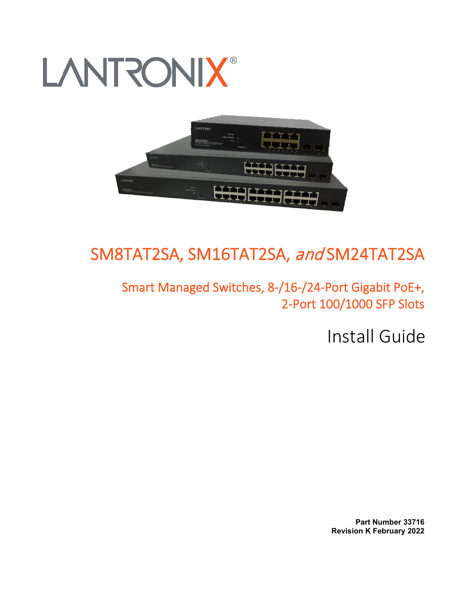# **LANTRONIX®**



## SM8TAT2SA, SM16TAT2SA, and SM24TAT2SA

Smart Managed Switches, 8-/16-/24-Port Gigabit PoE+, 2-Port 100/1000 SFP Slots

Install Guide

**Part Number 33716 Revision K February 2022**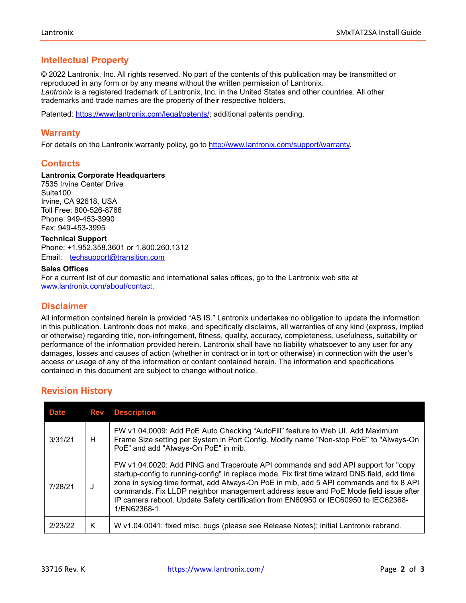## **Intellectual Property**

© 2022 Lantronix, Inc. All rights reserved. No part of the contents of this publication may be transmitted or reproduced in any form or by any means without the written permission of Lantronix. *Lantronix* is a registered trademark of Lantronix, Inc. in the United States and other countries. All other trademarks and trade names are the property of their respective holders.

Patented: [https://www.lantronix.com/legal/patents/;](https://www.lantronix.com/legal/patents/) additional patents pending.

## **Warranty**

For details on the Lantronix warranty policy, go to [http://www.lantronix.com/support/warranty.](http://www.lantronix.com/support/warranty)

## **Contacts**

#### **Lantronix Corporate Headquarters**

7535 Irvine Center Drive Suite100 Irvine, CA 92618, USA Toll Free: 800-526-8766 Phone: 949-453-3990 Fax: 949-453-3995

#### **Technical Support**

Phone: +1.952.358.3601 or 1.800.260.1312 Email: [techsupport@transition.com](mailto:techsupport@transition.com)

#### **Sales Offices**

For a current list of our domestic and international sales offices, go to the Lantronix web site at [www.lantronix.com/about/contact.](http://www.lantronix.com/about/contact)

#### **Disclaimer**

All information contained herein is provided "AS IS." Lantronix undertakes no obligation to update the information in this publication. Lantronix does not make, and specifically disclaims, all warranties of any kind (express, implied or otherwise) regarding title, non-infringement, fitness, quality, accuracy, completeness, usefulness, suitability or performance of the information provided herein. Lantronix shall have no liability whatsoever to any user for any damages, losses and causes of action (whether in contract or in tort or otherwise) in connection with the user's access or usage of any of the information or content contained herein. The information and specifications contained in this document are subject to change without notice.

## **Revision History**

| <b>Date</b> |   | <b>Rev</b> Description                                                                                                                                                                                                                                                                                                                                                                                                                                                    |
|-------------|---|---------------------------------------------------------------------------------------------------------------------------------------------------------------------------------------------------------------------------------------------------------------------------------------------------------------------------------------------------------------------------------------------------------------------------------------------------------------------------|
| 3/31/21     | н | FW v1.04.0009: Add PoE Auto Checking "AutoFill" feature to Web UI. Add Maximum<br>Frame Size setting per System in Port Config. Modify name "Non-stop PoE" to "Always-On<br>PoE" and add "Always-On PoE" in mib.                                                                                                                                                                                                                                                          |
| 7/28/21     | J | FW v1.04.0020: Add PING and Traceroute API commands and add API support for "copy<br>startup-config to running-config" in replace mode. Fix first time wizard DNS field, add time<br>zone in syslog time format, add Always-On PoE in mib, add 5 API commands and fix 8 API<br>commands. Fix LLDP neighbor management address issue and PoE Mode field issue after<br>IP camera reboot. Update Safety certification from EN60950 or IEC60950 to IEC62368-<br>1/EN62368-1. |
| 2/23/22     | Κ | W v1.04.0041; fixed misc. bugs (please see Release Notes); initial Lantronix rebrand.                                                                                                                                                                                                                                                                                                                                                                                     |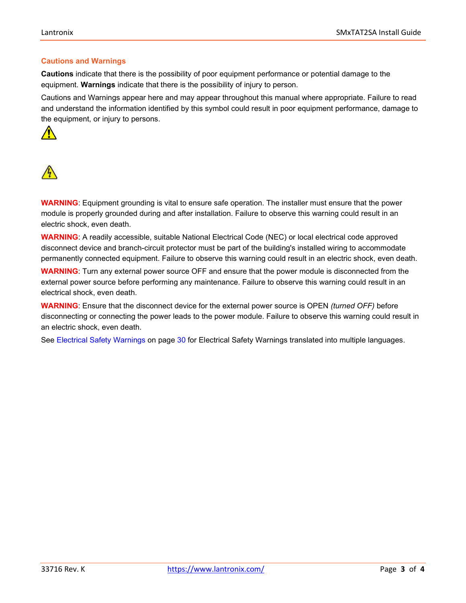#### **Cautions and Warnings**

**Cautions** indicate that there is the possibility of poor equipment performance or potential damage to the equipment. **Warnings** indicate that there is the possibility of injury to person.

Cautions and Warnings appear here and may appear throughout this manual where appropriate. Failure to read and understand the information identified by this symbol could result in poor equipment performance, damage to the equipment, or injury to persons.





**WARNING**: Equipment grounding is vital to ensure safe operation. The installer must ensure that the power module is properly grounded during and after installation. Failure to observe this warning could result in an electric shock, even death.

**WARNING**: A readily accessible, suitable National Electrical Code (NEC) or local electrical code approved disconnect device and branch-circuit protector must be part of the building's installed wiring to accommodate permanently connected equipment. Failure to observe this warning could result in an electric shock, even death.

**WARNING**: Turn any external power source OFF and ensure that the power module is disconnected from the external power source before performing any maintenance. Failure to observe this warning could result in an electrical shock, even death.

**WARNING**: Ensure that the disconnect device for the external power source is OPEN *(turned OFF)* before disconnecting or connecting the power leads to the power module. Failure to observe this warning could result in an electric shock, even death.

See Electrical Safety Warnings on page [30](#page-28-0) for Electrical Safety Warnings translated into multiple languages.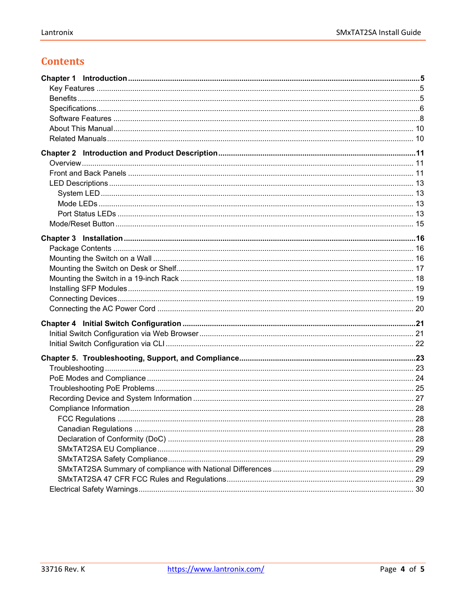## **Contents**

| 29 |
|----|
|    |
|    |
|    |
|    |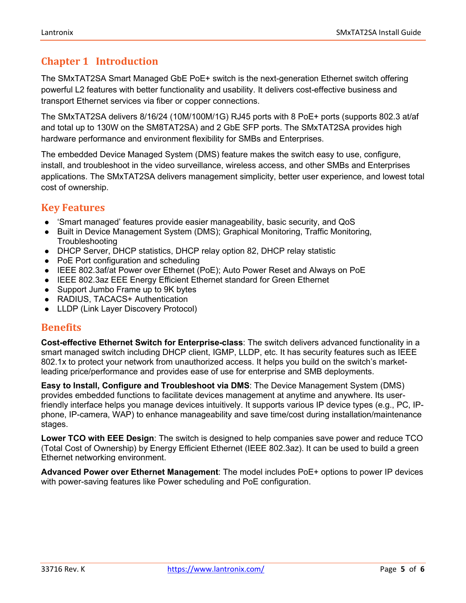## <span id="page-4-0"></span>**Chapter 1 Introduction**

The SMxTAT2SA Smart Managed GbE PoE+ switch is the next-generation Ethernet switch offering powerful L2 features with better functionality and usability. It delivers cost-effective business and transport Ethernet services via fiber or copper connections.

The SMxTAT2SA delivers 8/16/24 (10M/100M/1G) RJ45 ports with 8 PoE+ ports (supports 802.3 at/af and total up to 130W on the SM8TAT2SA) and 2 GbE SFP ports. The SMxTAT2SA provides high hardware performance and environment flexibility for SMBs and Enterprises.

The embedded Device Managed System (DMS) feature makes the switch easy to use, configure, install, and troubleshoot in the video surveillance, wireless access, and other SMBs and Enterprises applications. The SMxTAT2SA delivers management simplicity, better user experience, and lowest total cost of ownership.

## <span id="page-4-1"></span>**Key Features**

- 'Smart managed' features provide easier manageability, basic security, and QoS
- Built in Device Management System (DMS); Graphical Monitoring, Traffic Monitoring, Troubleshooting
- DHCP Server, DHCP statistics, DHCP relay option 82, DHCP relay statistic
- PoE Port configuration and scheduling
- IEEE 802.3af/at Power over Ethernet (PoE); Auto Power Reset and Always on PoE
- IEEE 802.3az EEE Energy Efficient Ethernet standard for Green Ethernet
- Support Jumbo Frame up to 9K bytes
- RADIUS, TACACS+ Authentication
- LLDP (Link Layer Discovery Protocol)

## <span id="page-4-2"></span>**Benefits**

**Cost-effective Ethernet Switch for Enterprise-class**: The switch delivers advanced functionality in a smart managed switch including DHCP client, IGMP, LLDP, etc. It has security features such as IEEE 802.1x to protect your network from unauthorized access. It helps you build on the switch's marketleading price/performance and provides ease of use for enterprise and SMB deployments.

**Easy to Install, Configure and Troubleshoot via DMS**: The Device Management System (DMS) provides embedded functions to facilitate devices management at anytime and anywhere. Its userfriendly interface helps you manage devices intuitively. It supports various IP device types (e.g., PC, IPphone, IP-camera, WAP) to enhance manageability and save time/cost during installation/maintenance stages.

**Lower TCO with EEE Design**: The switch is designed to help companies save power and reduce TCO (Total Cost of Ownership) by Energy Efficient Ethernet (IEEE 802.3az). It can be used to build a green Ethernet networking environment.

**Advanced Power over Ethernet Management**: The model includes PoE+ options to power IP devices with power-saving features like Power scheduling and PoE configuration.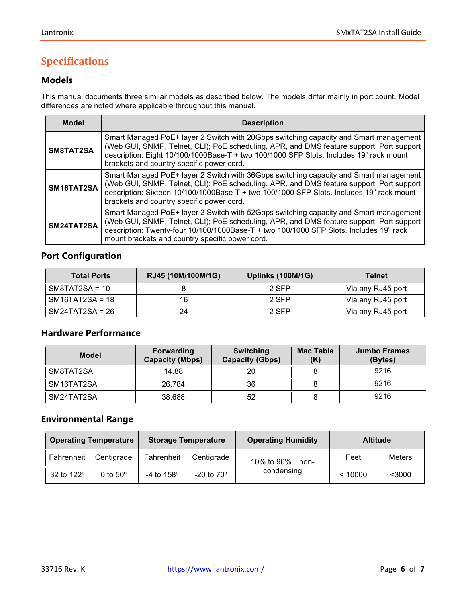## <span id="page-5-0"></span>**Specifications**

## **Models**

This manual documents three similar models as described below. The models differ mainly in port count. Model differences are noted where applicable throughout this manual.

| <b>Model</b> | <b>Description</b>                                                                                                                                                                                                                                                                                                             |  |
|--------------|--------------------------------------------------------------------------------------------------------------------------------------------------------------------------------------------------------------------------------------------------------------------------------------------------------------------------------|--|
| SM8TAT2SA    | Smart Managed PoE+ layer 2 Switch with 20Gbps switching capacity and Smart management<br>(Web GUI, SNMP, Telnet, CLI); PoE scheduling, APR, and DMS feature support. Port support<br>description: Eight 10/100/1000Base-T + two 100/1000 SFP Slots. Includes 19" rack mount<br>brackets and country specific power cord.       |  |
| SM16TAT2SA   | Smart Managed PoE+ layer 2 Switch with 36Gbps switching capacity and Smart management<br>(Web GUI, SNMP, Telnet, CLI); PoE scheduling, APR, and DMS feature support. Port support<br>description: Sixteen 10/100/1000Base-T + two 100/1000 SFP Slots. Includes 19" rack mount<br>brackets and country specific power cord.     |  |
| SM24TAT2SA   | Smart Managed PoE+ layer 2 Switch with 52Gbps switching capacity and Smart management<br>(Web GUI, SNMP, Telnet, CLI); PoE scheduling, APR, and DMS feature support. Port support<br>description: Twenty-four 10/100/1000Base-T + two 100/1000 SFP Slots. Includes 19" rack<br>mount brackets and country specific power cord. |  |

## **Port Configuration**

| <b>Total Ports</b> | RJ45 (10M/100M/1G) | Uplinks (100M/1G) | <b>Telnet</b>     |
|--------------------|--------------------|-------------------|-------------------|
| $SM8TAT2SA = 10$   |                    | 2 SFP             | Via any RJ45 port |
| SM16TAT2SA = 18    | 16                 | 2 SFP             | Via any RJ45 port |
| $SM24TAT2SA = 26$  | 24                 | 2 SFP             | Via any RJ45 port |

## **Hardware Performance**

| <b>Model</b> | <b>Forwarding</b><br><b>Capacity (Mbps)</b> | <b>Switching</b><br><b>Capacity (Gbps)</b> | <b>Mac Table</b><br>(K) | <b>Jumbo Frames</b><br>(Bytes) |
|--------------|---------------------------------------------|--------------------------------------------|-------------------------|--------------------------------|
| SM8TAT2SA    | 14.88                                       | 20                                         |                         | 9216                           |
| SM16TAT2SA   | 26.784                                      | 36                                         |                         | 9216                           |
| SM24TAT2SA   | 38.688                                      | 52                                         |                         | 9216                           |

## **Environmental Range**

| <b>Operating Temperature</b> |                   | <b>Storage Temperature</b> |                     | <b>Operating Humidity</b> | <b>Altitude</b> |        |
|------------------------------|-------------------|----------------------------|---------------------|---------------------------|-----------------|--------|
| Fahrenheit                   | Centigrade        | Fahrenheit                 | Centigrade          | 10% to 90%<br>non-        | Feet            | Meters |
| 32 to 122 <sup>o</sup>       | $0$ to $50^\circ$ | $-4$ to $158^{\circ}$      | $-20$ to $70^\circ$ | condensing                | < 10000         | $3000$ |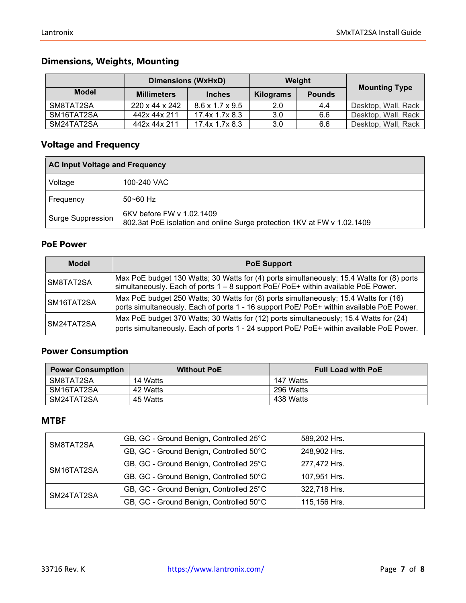## **Dimensions, Weights, Mounting**

|              | <b>Dimensions (WxHxD)</b>  |                             | Weight    |               |                      |
|--------------|----------------------------|-----------------------------|-----------|---------------|----------------------|
| <b>Model</b> | <b>Millimeters</b>         | <b>Inches</b>               | Kilograms | <b>Pounds</b> | <b>Mounting Type</b> |
| SM8TAT2SA    | $220 \times 44 \times 242$ | $8.6 \times 1.7 \times 9.5$ | 2.0       | 4.4           | Desktop, Wall, Rack  |
| SM16TAT2SA   | 442x 44x 211               | 17.4x 1.7x 8.3              | 3.0       | 6.6           | Desktop, Wall, Rack  |
| SM24TAT2SA   | 442x 44x 211               | 17.4x 1.7x 8.3              | 3.0       | 6.6           | Desktop, Wall, Rack  |

## **Voltage and Frequency**

| <b>AC Input Voltage and Frequency</b> |                                                                                                      |  |
|---------------------------------------|------------------------------------------------------------------------------------------------------|--|
| Voltage                               | 100-240 VAC                                                                                          |  |
| Frequency                             | $50 - 60$ Hz                                                                                         |  |
| Surge Suppression                     | 6KV before FW v 1.02.1409<br>802.3at PoE isolation and online Surge protection 1KV at FW v 1.02.1409 |  |

## **PoE Power**

| <b>Model</b> | <b>PoE Support</b>                                                                                                                                                                |
|--------------|-----------------------------------------------------------------------------------------------------------------------------------------------------------------------------------|
| SM8TAT2SA    | Max PoE budget 130 Watts; 30 Watts for (4) ports simultaneously; 15.4 Watts for (8) ports<br>simultaneously. Each of ports 1 - 8 support PoE/ PoE+ within available PoE Power.    |
| SM16TAT2SA   | Max PoE budget 250 Watts; 30 Watts for (8) ports simultaneously; 15.4 Watts for (16)<br>ports simultaneously. Each of ports 1 - 16 support PoE/ PoE+ within available PoE Power.  |
| SM24TAT2SA   | Max PoE budget 370 Watts; 30 Watts for (12) ports simultaneously; 15.4 Watts for (24)<br>ports simultaneously. Each of ports 1 - 24 support PoE/ PoE+ within available PoE Power. |

## **Power Consumption**

| <b>Power Consumption</b> | <b>Without PoE</b> | <b>Full Load with PoE</b> |
|--------------------------|--------------------|---------------------------|
| SM8TAT2SA                | 14 Watts           | 147 Watts                 |
| SM16TAT2SA               | 42 Watts           | 296 Watts                 |
| SM24TAT2SA               | 45 Watts           | 438 Watts                 |

## **MTBF**

| SM8TAT2SA  | GB, GC - Ground Benign, Controlled 25°C | 589,202 Hrs. |
|------------|-----------------------------------------|--------------|
|            | GB, GC - Ground Benign, Controlled 50°C | 248,902 Hrs. |
| SM16TAT2SA | GB, GC - Ground Benign, Controlled 25°C | 277,472 Hrs. |
|            | GB, GC - Ground Benign, Controlled 50°C | 107,951 Hrs. |
| SM24TAT2SA | GB, GC - Ground Benign, Controlled 25°C | 322,718 Hrs. |
|            | GB, GC - Ground Benign, Controlled 50°C | 115,156 Hrs. |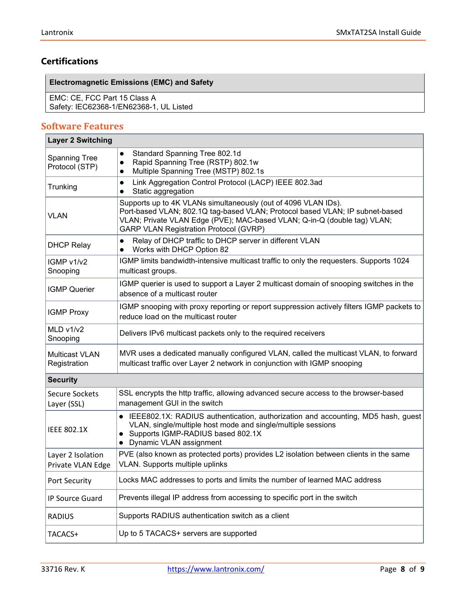## **Certifications**

## **Electromagnetic Emissions (EMC) and Safety**

EMC: CE, FCC Part 15 Class A Safety: IEC62368-1/EN62368-1, UL Listed

#### <span id="page-7-0"></span>**Software Features Layer 2 Switching**

| Layer 2 Switching                      |                                                                                                                                                                                                                                                                             |
|----------------------------------------|-----------------------------------------------------------------------------------------------------------------------------------------------------------------------------------------------------------------------------------------------------------------------------|
| <b>Spanning Tree</b><br>Protocol (STP) | Standard Spanning Tree 802.1d<br>Rapid Spanning Tree (RSTP) 802.1w<br>$\bullet$<br>Multiple Spanning Tree (MSTP) 802.1s                                                                                                                                                     |
| Trunking                               | Link Aggregation Control Protocol (LACP) IEEE 802.3ad<br>$\bullet$<br>Static aggregation<br>$\bullet$                                                                                                                                                                       |
| <b>VLAN</b>                            | Supports up to 4K VLANs simultaneously (out of 4096 VLAN IDs).<br>Port-based VLAN; 802.1Q tag-based VLAN; Protocol based VLAN; IP subnet-based<br>VLAN; Private VLAN Edge (PVE); MAC-based VLAN; Q-in-Q (double tag) VLAN;<br><b>GARP VLAN Registration Protocol (GVRP)</b> |
| <b>DHCP Relay</b>                      | Relay of DHCP traffic to DHCP server in different VLAN<br>$\bullet$<br>Works with DHCP Option 82<br>$\bullet$                                                                                                                                                               |
| IGMP v1/v2<br>Snooping                 | IGMP limits bandwidth-intensive multicast traffic to only the requesters. Supports 1024<br>multicast groups.                                                                                                                                                                |
| <b>IGMP Querier</b>                    | IGMP querier is used to support a Layer 2 multicast domain of snooping switches in the<br>absence of a multicast router                                                                                                                                                     |
| <b>IGMP Proxy</b>                      | IGMP snooping with proxy reporting or report suppression actively filters IGMP packets to<br>reduce load on the multicast router                                                                                                                                            |
| MLD v1/v2<br>Snooping                  | Delivers IPv6 multicast packets only to the required receivers                                                                                                                                                                                                              |
| <b>Multicast VLAN</b><br>Registration  | MVR uses a dedicated manually configured VLAN, called the multicast VLAN, to forward<br>multicast traffic over Layer 2 network in conjunction with IGMP snooping                                                                                                            |
| <b>Security</b>                        |                                                                                                                                                                                                                                                                             |
| <b>Secure Sockets</b><br>Layer (SSL)   | SSL encrypts the http traffic, allowing advanced secure access to the browser-based<br>management GUI in the switch                                                                                                                                                         |
| <b>IEEE 802.1X</b>                     | • IEEE802.1X: RADIUS authentication, authorization and accounting, MD5 hash, guest<br>VLAN, single/multiple host mode and single/multiple sessions<br>• Supports IGMP-RADIUS based 802.1X<br>Dynamic VLAN assignment<br>$\bullet$                                           |
| Layer 2 Isolation<br>Private VLAN Edge | PVE (also known as protected ports) provides L2 isolation between clients in the same<br><b>VLAN.</b> Supports multiple uplinks                                                                                                                                             |
| Port Security                          | Locks MAC addresses to ports and limits the number of learned MAC address                                                                                                                                                                                                   |
| IP Source Guard                        | Prevents illegal IP address from accessing to specific port in the switch                                                                                                                                                                                                   |
| <b>RADIUS</b>                          | Supports RADIUS authentication switch as a client                                                                                                                                                                                                                           |
| TACACS+                                | Up to 5 TACACS+ servers are supported                                                                                                                                                                                                                                       |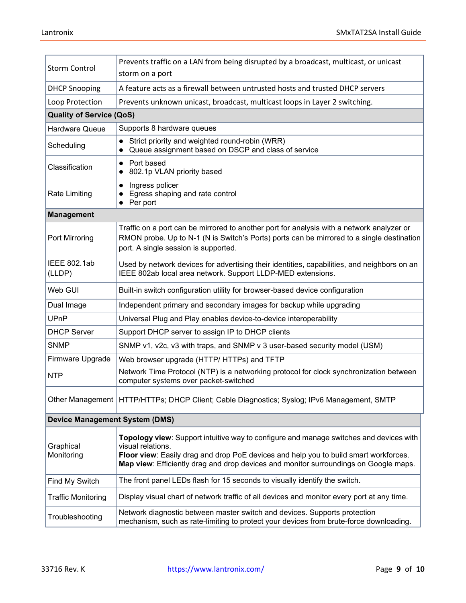| <b>Storm Control</b>                  | Prevents traffic on a LAN from being disrupted by a broadcast, multicast, or unicast<br>storm on a port                                                                                                                                                                                     |  |  |  |
|---------------------------------------|---------------------------------------------------------------------------------------------------------------------------------------------------------------------------------------------------------------------------------------------------------------------------------------------|--|--|--|
| <b>DHCP Snooping</b>                  | A feature acts as a firewall between untrusted hosts and trusted DHCP servers                                                                                                                                                                                                               |  |  |  |
| Loop Protection                       | Prevents unknown unicast, broadcast, multicast loops in Layer 2 switching.                                                                                                                                                                                                                  |  |  |  |
| <b>Quality of Service (QoS)</b>       |                                                                                                                                                                                                                                                                                             |  |  |  |
| <b>Hardware Queue</b>                 | Supports 8 hardware queues                                                                                                                                                                                                                                                                  |  |  |  |
| Scheduling                            | Strict priority and weighted round-robin (WRR)<br>Queue assignment based on DSCP and class of service                                                                                                                                                                                       |  |  |  |
| Classification                        | Port based<br>$\bullet$<br>802.1p VLAN priority based                                                                                                                                                                                                                                       |  |  |  |
| <b>Rate Limiting</b>                  | Ingress policer<br>$\bullet$<br>Egress shaping and rate control<br>$\bullet$ Per port                                                                                                                                                                                                       |  |  |  |
| <b>Management</b>                     |                                                                                                                                                                                                                                                                                             |  |  |  |
| Port Mirroring                        | Traffic on a port can be mirrored to another port for analysis with a network analyzer or<br>RMON probe. Up to N-1 (N is Switch's Ports) ports can be mirrored to a single destination<br>port. A single session is supported.                                                              |  |  |  |
| IEEE 802.1ab<br>(LLDP)                | Used by network devices for advertising their identities, capabilities, and neighbors on an<br>IEEE 802ab local area network. Support LLDP-MED extensions.                                                                                                                                  |  |  |  |
| Web GUI                               | Built-in switch configuration utility for browser-based device configuration                                                                                                                                                                                                                |  |  |  |
| Dual Image                            | Independent primary and secondary images for backup while upgrading                                                                                                                                                                                                                         |  |  |  |
| UPnP                                  | Universal Plug and Play enables device-to-device interoperability                                                                                                                                                                                                                           |  |  |  |
| <b>DHCP Server</b>                    | Support DHCP server to assign IP to DHCP clients                                                                                                                                                                                                                                            |  |  |  |
| <b>SNMP</b>                           | SNMP v1, v2c, v3 with traps, and SNMP v 3 user-based security model (USM)                                                                                                                                                                                                                   |  |  |  |
| Firmware Upgrade                      | Web browser upgrade (HTTP/ HTTPs) and TFTP                                                                                                                                                                                                                                                  |  |  |  |
| <b>NTP</b>                            | Network Time Protocol (NTP) is a networking protocol for clock synchronization between<br>computer systems over packet-switched                                                                                                                                                             |  |  |  |
|                                       | Other Management   HTTP/HTTPs; DHCP Client; Cable Diagnostics; Syslog; IPv6 Management, SMTP                                                                                                                                                                                                |  |  |  |
| <b>Device Management System (DMS)</b> |                                                                                                                                                                                                                                                                                             |  |  |  |
| Graphical<br>Monitoring               | Topology view: Support intuitive way to configure and manage switches and devices with<br>visual relations.<br>Floor view: Easily drag and drop PoE devices and help you to build smart workforces.<br>Map view: Efficiently drag and drop devices and monitor surroundings on Google maps. |  |  |  |
| Find My Switch                        | The front panel LEDs flash for 15 seconds to visually identify the switch.                                                                                                                                                                                                                  |  |  |  |
| <b>Traffic Monitoring</b>             | Display visual chart of network traffic of all devices and monitor every port at any time.                                                                                                                                                                                                  |  |  |  |
| Troubleshooting                       | Network diagnostic between master switch and devices. Supports protection<br>mechanism, such as rate-limiting to protect your devices from brute-force downloading.                                                                                                                         |  |  |  |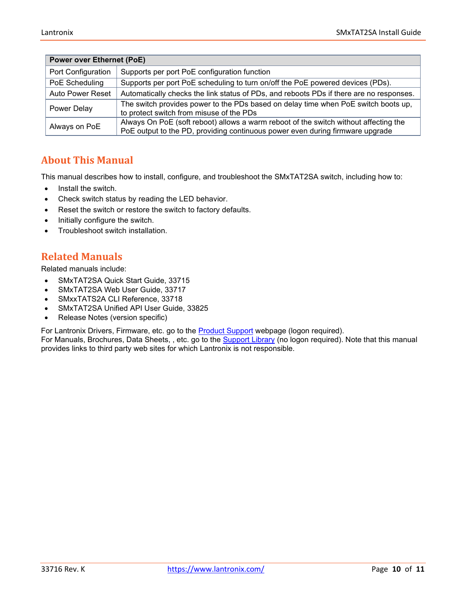| <b>Power over Ethernet (PoE)</b> |                                                                                                                                                                       |  |  |
|----------------------------------|-----------------------------------------------------------------------------------------------------------------------------------------------------------------------|--|--|
| Port Configuration               | Supports per port PoE configuration function                                                                                                                          |  |  |
| PoE Scheduling                   | Supports per port PoE scheduling to turn on/off the PoE powered devices (PDs).                                                                                        |  |  |
| <b>Auto Power Reset</b>          | Automatically checks the link status of PDs, and reboots PDs if there are no responses.                                                                               |  |  |
| Power Delay                      | The switch provides power to the PDs based on delay time when PoE switch boots up,<br>to protect switch from misuse of the PDs                                        |  |  |
| Always on PoE                    | Always On PoE (soft reboot) allows a warm reboot of the switch without affecting the<br>PoE output to the PD, providing continuous power even during firmware upgrade |  |  |

## <span id="page-9-0"></span>**About This Manual**

This manual describes how to install, configure, and troubleshoot the SMxTAT2SA switch, including how to:

- Install the switch.
- Check switch status by reading the LED behavior.
- Reset the switch or restore the switch to factory defaults.
- Initially configure the switch.
- Troubleshoot switch installation.

## <span id="page-9-1"></span>**Related Manuals**

Related manuals include:

- SMxTAT2SA Quick Start Guide, 33715
- SMxTAT2SA Web User Guide, 33717
- SMxxTATS2A CLI Reference, 33718
- SMxTAT2SA Unified API User Guide, 33825
- Release Notes (version specific)

For Lantronix Drivers, Firmware, etc. go to the **[Product Support](https://www.transition.com/support/product-support/)** webpage (logon required).

For Manuals, Brochures, Data Sheets, , etc. go to the [Support Library](https://www.transition.com/support/library/) (no logon required). Note that this manual provides links to third party web sites for which Lantronix is not responsible.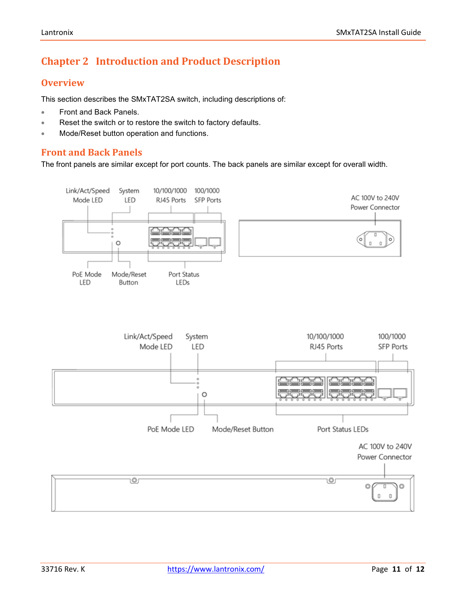## <span id="page-10-0"></span>**Chapter 2 Introduction and Product Description**

## <span id="page-10-1"></span>**Overview**

This section describes the SMxTAT2SA switch, including descriptions of:

- Front and Back Panels.
- Reset the switch or to restore the switch to factory defaults.
- <span id="page-10-2"></span>• Mode/Reset button operation and functions.

## **Front and Back Panels**

The front panels are similar except for port counts. The back panels are similar except for overall width.

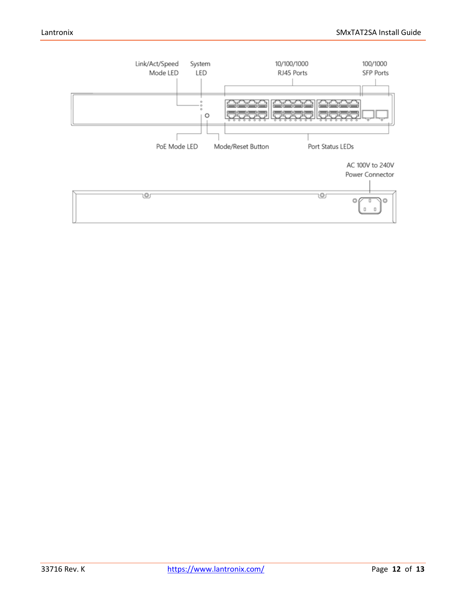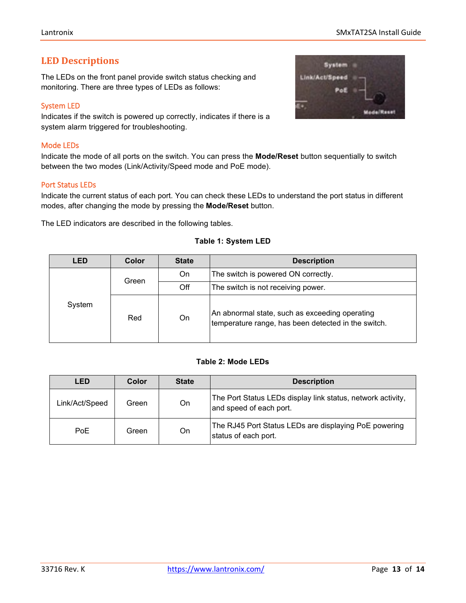## <span id="page-12-0"></span>**LED Descriptions**

The LEDs on the front panel provide switch status checking and monitoring. There are three types of LEDs as follows:

#### <span id="page-12-1"></span>System LED

Indicates if the switch is powered up correctly, indicates if there is a system alarm triggered for troubleshooting.

#### <span id="page-12-2"></span>Mode LEDs

Indicate the mode of all ports on the switch. You can press the **Mode/Reset** button sequentially to switch between the two modes (Link/Activity/Speed mode and PoE mode).

## <span id="page-12-3"></span>Port Status LEDs

Indicate the current status of each port. You can check these LEDs to understand the port status in different modes, after changing the mode by pressing the **Mode/Reset** button.

The LED indicators are described in the following tables.

#### **Table 1: System LED**

| <b>LED</b> | Color | <b>State</b> | <b>Description</b>                                                                                    |
|------------|-------|--------------|-------------------------------------------------------------------------------------------------------|
|            | Green | On.          | The switch is powered ON correctly.                                                                   |
|            |       | Off          | The switch is not receiving power.                                                                    |
| System     | Red   | On           | An abnormal state, such as exceeding operating<br>temperature range, has been detected in the switch. |

## **Table 2: Mode LEDs**

| LED            | Color | <b>State</b> | <b>Description</b>                                                                     |
|----------------|-------|--------------|----------------------------------------------------------------------------------------|
| Link/Act/Speed | Green | On           | The Port Status LEDs display link status, network activity,<br>and speed of each port. |
| PoE            | Green | On           | The RJ45 Port Status LEDs are displaying PoE powering<br>status of each port.          |

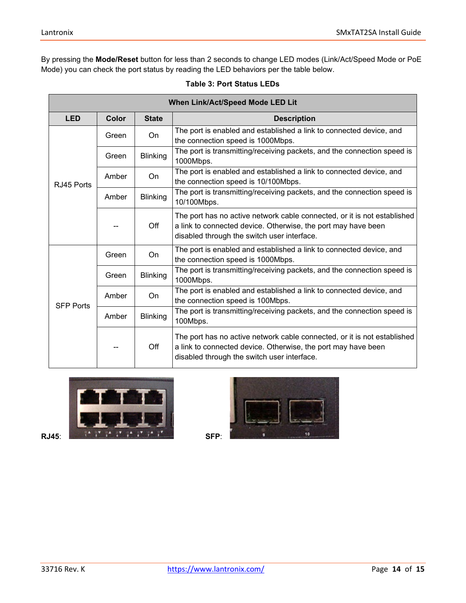By pressing the **Mode/Reset** button for less than 2 seconds to change LED modes (Link/Act/Speed Mode or PoE Mode) you can check the port status by reading the LED behaviors per the table below.

| When Link/Act/Speed Mode LED Lit |              |                 |                                                                                                                                                                                          |  |
|----------------------------------|--------------|-----------------|------------------------------------------------------------------------------------------------------------------------------------------------------------------------------------------|--|
| <b>LED</b>                       | <b>Color</b> | <b>State</b>    | <b>Description</b>                                                                                                                                                                       |  |
| RJ45 Ports                       | Green        | On.             | The port is enabled and established a link to connected device, and<br>the connection speed is 1000Mbps.                                                                                 |  |
|                                  | Green        | <b>Blinking</b> | The port is transmitting/receiving packets, and the connection speed is<br>1000Mbps.                                                                                                     |  |
|                                  | Amber        | On.             | The port is enabled and established a link to connected device, and<br>the connection speed is 10/100Mbps.                                                                               |  |
|                                  | Amber        | <b>Blinking</b> | The port is transmitting/receiving packets, and the connection speed is<br>10/100Mbps.                                                                                                   |  |
|                                  |              | Off             | The port has no active network cable connected, or it is not established<br>a link to connected device. Otherwise, the port may have been<br>disabled through the switch user interface. |  |
| <b>SFP Ports</b>                 | Green        | On              | The port is enabled and established a link to connected device, and<br>the connection speed is 1000Mbps.                                                                                 |  |
|                                  | Green        | <b>Blinking</b> | The port is transmitting/receiving packets, and the connection speed is<br>1000Mbps.                                                                                                     |  |
|                                  | Amber        | On              | The port is enabled and established a link to connected device, and<br>the connection speed is 100Mbps.                                                                                  |  |
|                                  | Amber        | <b>Blinking</b> | The port is transmitting/receiving packets, and the connection speed is<br>100Mbps.                                                                                                      |  |
|                                  |              | Off             | The port has no active network cable connected, or it is not established<br>a link to connected device. Otherwise, the port may have been<br>disabled through the switch user interface. |  |

## **Table 3: Port Status LEDs**



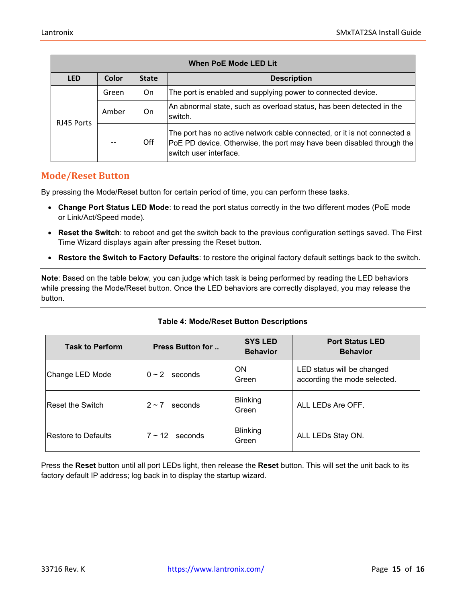| When PoE Mode LED Lit |       |                                    |                                                                                                                                                                              |
|-----------------------|-------|------------------------------------|------------------------------------------------------------------------------------------------------------------------------------------------------------------------------|
| <b>LED</b>            | Color | <b>State</b><br><b>Description</b> |                                                                                                                                                                              |
|                       | Green | On.                                | The port is enabled and supplying power to connected device.                                                                                                                 |
| RJ45 Ports            | Amber | On                                 | An abnormal state, such as overload status, has been detected in the<br>switch.                                                                                              |
|                       |       | Off                                | The port has no active network cable connected, or it is not connected a<br>[PoE PD device. Otherwise, the port may have been disabled through the<br>switch user interface. |

## <span id="page-14-0"></span>**Mode/Reset Button**

By pressing the Mode/Reset button for certain period of time, you can perform these tasks.

- **Change Port Status LED Mode**: to read the port status correctly in the two different modes (PoE mode or Link/Act/Speed mode).
- **Reset the Switch**: to reboot and get the switch back to the previous configuration settings saved. The First Time Wizard displays again after pressing the Reset button.
- **Restore the Switch to Factory Defaults**: to restore the original factory default settings back to the switch.

**Note**: Based on the table below, you can judge which task is being performed by reading the LED behaviors while pressing the Mode/Reset button. Once the LED behaviors are correctly displayed, you may release the button.

| <b>Task to Perform</b>  | <b>Press Button for </b> | <b>SYS LED</b><br><b>Behavior</b> | <b>Port Status LED</b><br><b>Behavior</b>                  |
|-------------------------|--------------------------|-----------------------------------|------------------------------------------------------------|
| Change LED Mode         | $0 \sim 2$<br>seconds    | <b>ON</b><br>Green                | LED status will be changed<br>according the mode selected. |
| <b>Reset the Switch</b> | seconds<br>$2 \sim 7$    | <b>Blinking</b><br>Green          | ALL LEDs Are OFF.                                          |
| Restore to Defaults     | $7 \sim 12$<br>seconds   | <b>Blinking</b><br>Green          | ALL LEDs Stay ON.                                          |

#### **Table 4: Mode/Reset Button Descriptions**

Press the **Reset** button until all port LEDs light, then release the **Reset** button. This will set the unit back to its factory default IP address; log back in to display the startup wizard.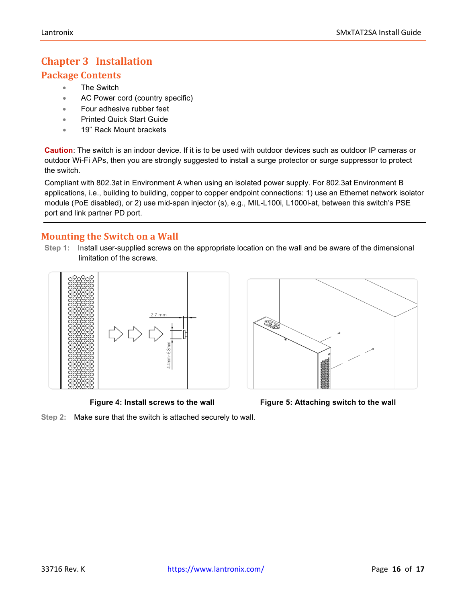## <span id="page-15-0"></span>**Chapter 3 Installation**

## <span id="page-15-1"></span>**Package Contents**

- The Switch
- AC Power cord (country specific)
- Four adhesive rubber feet
- Printed Quick Start Guide
- 19" Rack Mount brackets

**Caution**: The switch is an indoor device. If it is to be used with outdoor devices such as outdoor IP cameras or outdoor Wi-Fi APs, then you are strongly suggested to install a surge protector or surge suppressor to protect the switch.

Compliant with 802.3at in Environment A when using an isolated power supply. For 802.3at Environment B applications, i.e., building to building, copper to copper endpoint connections: 1) use an Ethernet network isolator module (PoE disabled), or 2) use mid-span injector (s), e.g., MIL-L100i, L1000i-at, between this switch's PSE port and link partner PD port.

## <span id="page-15-2"></span>**Mounting the Switch on a Wall**

**Step 1: In**stall user-supplied screws on the appropriate location on the wall and be aware of the dimensional limitation of the screws.







**Step 2:** Make sure that the switch is attached securely to wall.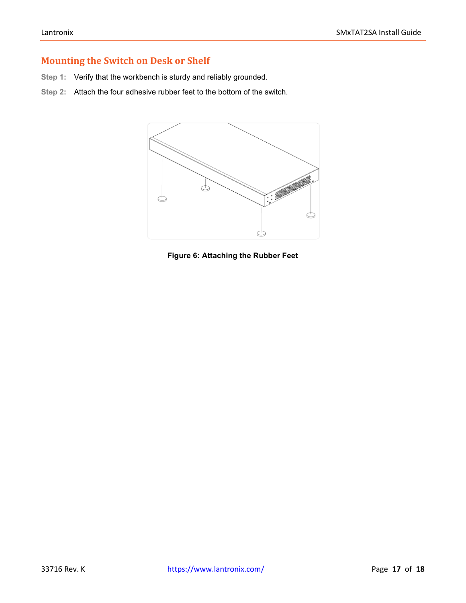## <span id="page-16-0"></span>**Mounting the Switch on Desk or Shelf**

- **Step 1:** Verify that the workbench is sturdy and reliably grounded.
- **Step 2:** Attach the four adhesive rubber feet to the bottom of the switch.



**Figure 6: Attaching the Rubber Feet**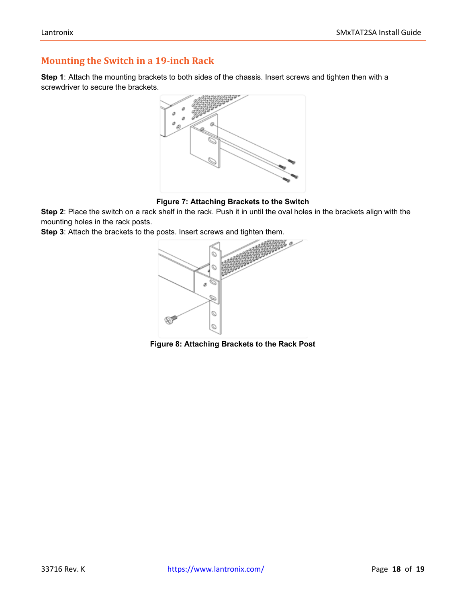## <span id="page-17-0"></span>**Mounting the Switch in a 19-inch Rack**

**Step 1**: Attach the mounting brackets to both sides of the chassis. Insert screws and tighten then with a screwdriver to secure the brackets.



#### **Figure 7: Attaching Brackets to the Switch**

**Step 2**: Place the switch on a rack shelf in the rack. Push it in until the oval holes in the brackets align with the mounting holes in the rack posts.

**Step 3**: Attach the brackets to the posts. Insert screws and tighten them.



**Figure 8: Attaching Brackets to the Rack Post**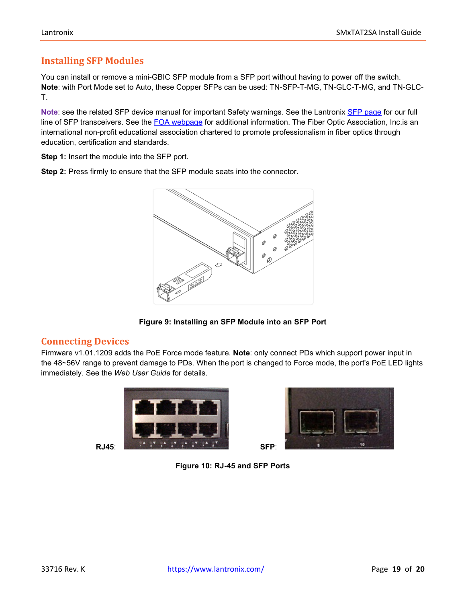## <span id="page-18-0"></span>**Installing SFP Modules**

You can install or remove a mini-GBIC SFP module from a SFP port without having to power off the switch. **Note**: with Port Mode set to Auto, these Copper SFPs can be used: TN-SFP-T-MG, TN-GLC-T-MG, and TN-GLC-T.

**Note**: see the related SFP device manual for important Safety warnings. See the Lantronix [SFP page](https://www.transition.com/lines/optical-devices/?fwp_platform=platform-sfp) for our full line of SFP transceivers. See the [FOA webpage](https://www.thefoa.org/) for additional information. The Fiber Optic Association, Inc.is an international non-profit educational association chartered to promote professionalism in fiber optics through education, certification and standards.

**Step 1:** Insert the module into the SFP port.

**Step 2:** Press firmly to ensure that the SFP module seats into the connector.



**Figure 9: Installing an SFP Module into an SFP Port**

## <span id="page-18-1"></span>**Connecting Devices**

Firmware v1.01.1209 adds the PoE Force mode feature. **Note**: only connect PDs which support power input in the 48~56V range to prevent damage to PDs. When the port is changed to Force mode, the port's PoE LED lights immediately. See the *Web User Guide* for details.





**Figure 10: RJ-45 and SFP Ports**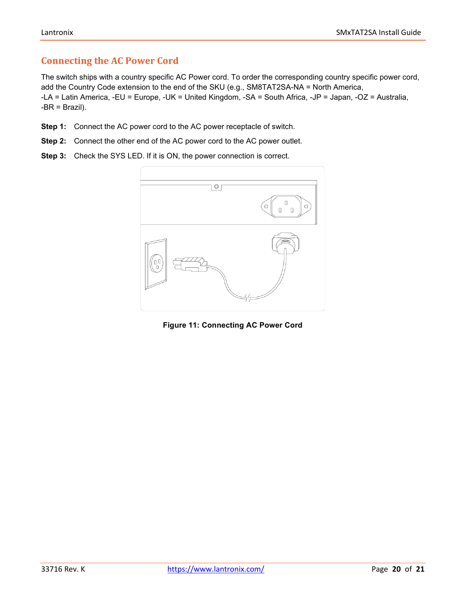## <span id="page-19-0"></span>**Connecting the AC Power Cord**

The switch ships with a country specific AC Power cord. To order the corresponding country specific power cord, add the Country Code extension to the end of the SKU (e.g., SM8TAT2SA-NA = North America, -LA = Latin America, -EU = Europe, -UK = United Kingdom, -SA = South Africa, -JP = Japan, -OZ = Australia,  $-BR = Brazil$ ).

- **Step 1:** Connect the AC power cord to the AC power receptacle of switch.
- **Step 2:** Connect the other end of the AC power cord to the AC power outlet.
- **Step 3:** Check the SYS LED. If it is ON, the power connection is correct.



**Figure 11: Connecting AC Power Cord**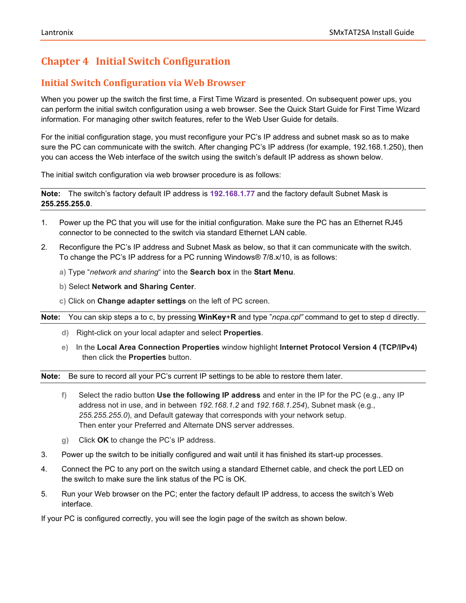## <span id="page-20-0"></span>**Chapter 4 Initial Switch Configuration**

## <span id="page-20-1"></span>**Initial Switch Configuration via Web Browser**

When you power up the switch the first time, a First Time Wizard is presented. On subsequent power ups, you can perform the initial switch configuration using a web browser. See the Quick Start Guide for First Time Wizard information. For managing other switch features, refer to the Web User Guide for details.

For the initial configuration stage, you must reconfigure your PC's IP address and subnet mask so as to make sure the PC can communicate with the switch. After changing PC's IP address (for example, 192.168.1.250), then you can access the Web interface of the switch using the switch's default IP address as shown below.

The initial switch configuration via web browser procedure is as follows:

**Note:** The switch's factory default IP address is **192.168.1.77** and the factory default Subnet Mask is **255.255.255.0**.

- 1. Power up the PC that you will use for the initial configuration. Make sure the PC has an Ethernet RJ45 connector to be connected to the switch via standard Ethernet LAN cable.
- 2. Reconfigure the PC's IP address and Subnet Mask as below, so that it can communicate with the switch. To change the PC's IP address for a PC running Windows® 7/8.x/10, is as follows:
	- **a)** Type "*network and sharing*" into the **Search box** in the **Start Menu**.
	- **b)** Select **Network and Sharing Center**.
	- **c)** Click on **Change adapter settings** on the left of PC screen.

**Note:** You can skip steps a to c, by pressing **WinKey**+**R** and type "*ncpa.cpl"* command to get to step d directly.

- **d)** Right-click on your local adapter and select **Properties**.
- **e)** In the **Local Area Connection Properties** window highlight **Internet Protocol Version 4 (TCP/IPv4)** then click the **Properties** button.

**Note:** Be sure to record all your PC's current IP settings to be able to restore them later.

- **f)** Select the radio button **Use the following IP address** and enter in the IP for the PC (e.g., any IP address not in use, and in between *192.168.1.2* and *192.168.1.254*), Subnet mask (e.g., *255.255.255.0*), and Default gateway that corresponds with your network setup. Then enter your Preferred and Alternate DNS server addresses.
- **g)** Click **OK** to change the PC's IP address.
- 3. Power up the switch to be initially configured and wait until it has finished its start-up processes.
- 4. Connect the PC to any port on the switch using a standard Ethernet cable, and check the port LED on the switch to make sure the link status of the PC is OK.
- 5. Run your Web browser on the PC; enter the factory default IP address, to access the switch's Web interface.

If your PC is configured correctly, you will see the login page of the switch as shown below.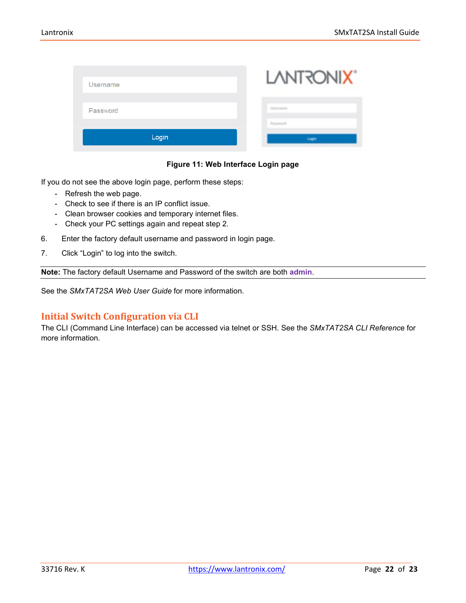| Username | <b>LANTRONIX®</b> |
|----------|-------------------|
| Password |                   |
| Login    | Login             |

#### **Figure 11: Web Interface Login page**

If you do not see the above login page, perform these steps:

- Refresh the web page.
- Check to see if there is an IP conflict issue.
- Clean browser cookies and temporary internet files.
- Check your PC settings again and repeat step 2.
- 6. Enter the factory default username and password in login page.
- 7. Click "Login" to log into the switch.

**Note:** The factory default Username and Password of the switch are both **admin**.

See the *SMxTAT2SA Web User Guide* for more information.

## <span id="page-21-0"></span>**Initial Switch Configuration via CLI**

The CLI (Command Line Interface) can be accessed via telnet or SSH. See the *SMxTAT2SA CLI Referenc*e for more information.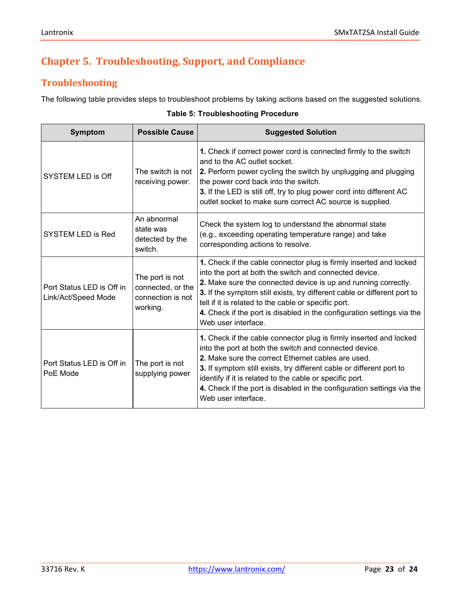## <span id="page-22-0"></span>**Chapter 5. Troubleshooting, Support, and Compliance**

## <span id="page-22-1"></span>**Troubleshooting**

The following table provides steps to troubleshoot problems by taking actions based on the suggested solutions.

#### **Table 5: Troubleshooting Procedure**

<span id="page-22-2"></span>

| <b>Symptom</b>                                   | <b>Possible Cause</b>                                                 | <b>Suggested Solution</b>                                                                                                                                                                                                                                                                                                                                                                                                           |
|--------------------------------------------------|-----------------------------------------------------------------------|-------------------------------------------------------------------------------------------------------------------------------------------------------------------------------------------------------------------------------------------------------------------------------------------------------------------------------------------------------------------------------------------------------------------------------------|
| <b>SYSTEM LED is Off</b>                         | The switch is not<br>receiving power.                                 | 1. Check if correct power cord is connected firmly to the switch<br>and to the AC outlet socket.<br>2. Perform power cycling the switch by unplugging and plugging<br>the power cord back into the switch.<br>3. If the LED is still off, try to plug power cord into different AC<br>outlet socket to make sure correct AC source is supplied.                                                                                     |
| <b>SYSTEM LED is Red</b>                         | An abnormal<br>state was<br>detected by the<br>switch.                | Check the system log to understand the abnormal state<br>(e.g., exceeding operating temperature range) and take<br>corresponding actions to resolve.                                                                                                                                                                                                                                                                                |
| Port Status LED is Off in<br>Link/Act/Speed Mode | The port is not<br>connected, or the<br>connection is not<br>working. | 1. Check if the cable connector plug is firmly inserted and locked<br>into the port at both the switch and connected device.<br>2. Make sure the connected device is up and running correctly.<br>3. If the symptom still exists, try different cable or different port to<br>tell if it is related to the cable or specific port.<br>4. Check if the port is disabled in the configuration settings via the<br>Web user interface. |
| Port Status LED is Off in<br>PoE Mode            | The port is not<br>supplying power                                    | 1. Check if the cable connector plug is firmly inserted and locked<br>into the port at both the switch and connected device.<br>2. Make sure the correct Ethernet cables are used.<br>3. If symptom still exists, try different cable or different port to<br>identify if it is related to the cable or specific port.<br>4. Check if the port is disabled in the configuration settings via the<br>Web user interface.             |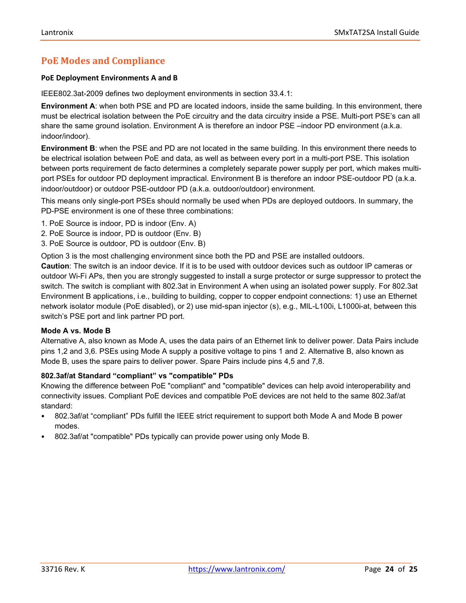## **PoE Modes and Compliance**

#### **PoE Deployment Environments A and B**

IEEE802.3at-2009 defines two deployment environments in section 33.4.1:

**Environment A**: when both PSE and PD are located indoors, inside the same building. In this environment, there must be electrical isolation between the PoE circuitry and the data circuitry inside a PSE. Multi-port PSE's can all share the same ground isolation. Environment A is therefore an indoor PSE –indoor PD environment (a.k.a. indoor/indoor).

**Environment B**: when the PSE and PD are not located in the same building. In this environment there needs to be electrical isolation between PoE and data, as well as between every port in a multi-port PSE. This isolation between ports requirement de facto determines a completely separate power supply per port, which makes multiport PSEs for outdoor PD deployment impractical. Environment B is therefore an indoor PSE-outdoor PD (a.k.a. indoor/outdoor) or outdoor PSE-outdoor PD (a.k.a. outdoor/outdoor) environment.

This means only single-port PSEs should normally be used when PDs are deployed outdoors. In summary, the PD-PSE environment is one of these three combinations:

- 1. PoE Source is indoor, PD is indoor (Env. A)
- 2. PoE Source is indoor, PD is outdoor (Env. B)
- 3. PoE Source is outdoor, PD is outdoor (Env. B)

Option 3 is the most challenging environment since both the PD and PSE are installed outdoors.

**Caution**: The switch is an indoor device. If it is to be used with outdoor devices such as outdoor IP cameras or outdoor Wi-Fi APs, then you are strongly suggested to install a surge protector or surge suppressor to protect the switch. The switch is compliant with 802.3at in Environment A when using an isolated power supply. For 802.3at Environment B applications, i.e., building to building, copper to copper endpoint connections: 1) use an Ethernet network isolator module (PoE disabled), or 2) use mid-span injector (s), e.g., MIL-L100i, L1000i-at, between this switch's PSE port and link partner PD port.

#### **Mode A vs. Mode B**

Alternative A, also known as Mode A, uses the data pairs of an Ethernet link to deliver power. Data Pairs include pins 1,2 and 3,6. PSEs using Mode A supply a positive voltage to pins 1 and 2. Alternative B, also known as Mode B, uses the spare pairs to deliver power. Spare Pairs include pins 4,5 and 7,8.

#### **802.3af/at Standard "compliant" vs "compatible" PDs**

Knowing the difference between PoE "compliant" and "compatible" devices can help avoid interoperability and connectivity issues. Compliant PoE devices and compatible PoE devices are not held to the same 802.3af/at standard:

- 802.3af/at "compliant" PDs fulfill the IEEE strict requirement to support both Mode A and Mode B power modes.
- 802.3af/at "compatible" PDs typically can provide power using only Mode B.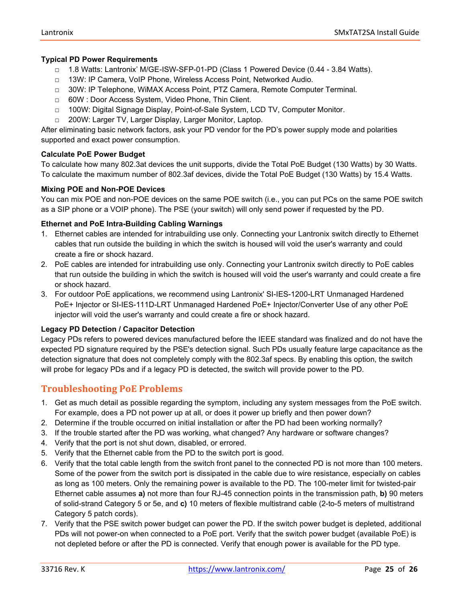#### **Typical PD Power Requirements**

- □ 1.8 Watts: Lantronix' M/GE-ISW-SFP-01-PD (Class 1 Powered Device (0.44 3.84 Watts).
- □ 13W: IP Camera, VoIP Phone, Wireless Access Point, Networked Audio.
- □ 30W: IP Telephone, WiMAX Access Point, PTZ Camera, Remote Computer Terminal.
- □ 60W : Door Access System, Video Phone, Thin Client.
- □ 100W: Digital Signage Display, Point-of-Sale System, LCD TV, Computer Monitor.
- □ 200W: Larger TV, Larger Display, Larger Monitor, Laptop.

After eliminating basic network factors, ask your PD vendor for the PD's power supply mode and polarities supported and exact power consumption.

#### **Calculate PoE Power Budget**

To calculate how many 802.3at devices the unit supports, divide the Total PoE Budget (130 Watts) by 30 Watts. To calculate the maximum number of 802.3af devices, divide the Total PoE Budget (130 Watts) by 15.4 Watts.

#### **Mixing POE and Non-POE Devices**

You can mix POE and non-POE devices on the same POE switch (i.e., you can put PCs on the same POE switch as a SIP phone or a VOIP phone). The PSE (your switch) will only send power if requested by the PD.

#### **Ethernet and PoE Intra-Building Cabling Warnings**

- 1. Ethernet cables are intended for intrabuilding use only. Connecting your Lantronix switch directly to Ethernet cables that run outside the building in which the switch is housed will void the user's warranty and could create a fire or shock hazard.
- 2. PoE cables are intended for intrabuilding use only. Connecting your Lantronix switch directly to PoE cables that run outside the building in which the switch is housed will void the user's warranty and could create a fire or shock hazard.
- 3. For outdoor PoE applications, we recommend using Lantronix' SI-IES-1200-LRT Unmanaged Hardened PoE+ Injector or SI-IES-111D-LRT Unmanaged Hardened PoE+ Injector/Converter Use of any other PoE injector will void the user's warranty and could create a fire or shock hazard.

#### **Legacy PD Detection / Capacitor Detection**

Legacy PDs refers to powered devices manufactured before the IEEE standard was finalized and do not have the expected PD signature required by the PSE's detection signal. Such PDs usually feature large capacitance as the detection signature that does not completely comply with the 802.3af specs. By enabling this option, the switch will probe for legacy PDs and if a legacy PD is detected, the switch will provide power to the PD.

## <span id="page-24-0"></span>**Troubleshooting PoE Problems**

- 1. Get as much detail as possible regarding the symptom, including any system messages from the PoE switch. For example, does a PD not power up at all, or does it power up briefly and then power down?
- 2. Determine if the trouble occurred on initial installation or after the PD had been working normally?
- 3. If the trouble started after the PD was working, what changed? Any hardware or software changes?
- 4. Verify that the port is not shut down, disabled, or errored.
- 5. Verify that the Ethernet cable from the PD to the switch port is good.
- 6. Verify that the total cable length from the switch front panel to the connected PD is not more than 100 meters. Some of the power from the switch port is dissipated in the cable due to wire resistance, especially on cables as long as 100 meters. Only the remaining power is available to the PD. The 100-meter limit for twisted-pair Ethernet cable assumes **a)** not more than four RJ-45 connection points in the transmission path, **b)** 90 meters of solid-strand Category 5 or 5e, and **c)** 10 meters of flexible multistrand cable (2-to-5 meters of multistrand Category 5 patch cords).
- 7. Verify that the PSE switch power budget can power the PD. If the switch power budget is depleted, additional PDs will not power-on when connected to a PoE port. Verify that the switch power budget (available PoE) is not depleted before or after the PD is connected. Verify that enough power is available for the PD type.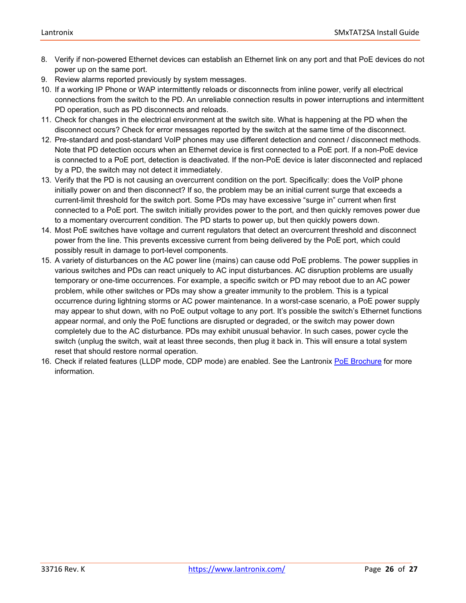- 8. Verify if non-powered Ethernet devices can establish an Ethernet link on any port and that PoE devices do not power up on the same port.
- 9. Review alarms reported previously by system messages.
- 10. If a working IP Phone or WAP intermittently reloads or disconnects from inline power, verify all electrical connections from the switch to the PD. An unreliable connection results in power interruptions and intermittent PD operation, such as PD disconnects and reloads.
- 11. Check for changes in the electrical environment at the switch site. What is happening at the PD when the disconnect occurs? Check for error messages reported by the switch at the same time of the disconnect.
- 12. Pre-standard and post-standard VoIP phones may use different detection and connect / disconnect methods. Note that PD detection occurs when an Ethernet device is first connected to a PoE port. If a non-PoE device is connected to a PoE port, detection is deactivated. If the non-PoE device is later disconnected and replaced by a PD, the switch may not detect it immediately.
- 13. Verify that the PD is not causing an overcurrent condition on the port. Specifically: does the VoIP phone initially power on and then disconnect? If so, the problem may be an initial current surge that exceeds a current-limit threshold for the switch port. Some PDs may have excessive "surge in" current when first connected to a PoE port. The switch initially provides power to the port, and then quickly removes power due to a momentary overcurrent condition. The PD starts to power up, but then quickly powers down.
- 14. Most PoE switches have voltage and current regulators that detect an overcurrent threshold and disconnect power from the line. This prevents excessive current from being delivered by the PoE port, which could possibly result in damage to port-level components.
- 15. A variety of disturbances on the AC power line (mains) can cause odd PoE problems. The power supplies in various switches and PDs can react uniquely to AC input disturbances. AC disruption problems are usually temporary or one-time occurrences. For example, a specific switch or PD may reboot due to an AC power problem, while other switches or PDs may show a greater immunity to the problem. This is a typical occurrence during lightning storms or AC power maintenance. In a worst-case scenario, a PoE power supply may appear to shut down, with no PoE output voltage to any port. It's possible the switch's Ethernet functions appear normal, and only the PoE functions are disrupted or degraded, or the switch may power down completely due to the AC disturbance. PDs may exhibit unusual behavior. In such cases, power cycle the switch (unplug the switch, wait at least three seconds, then plug it back in. This will ensure a total system reset that should restore normal operation.
- <span id="page-25-0"></span>16. Check if related features (LLDP mode, CDP mode) are enabled. See the Lantronix [PoE Brochure](https://www.transition.com/wp-content/uploads/2016/04/PoE-Brochure.pdf) for more information.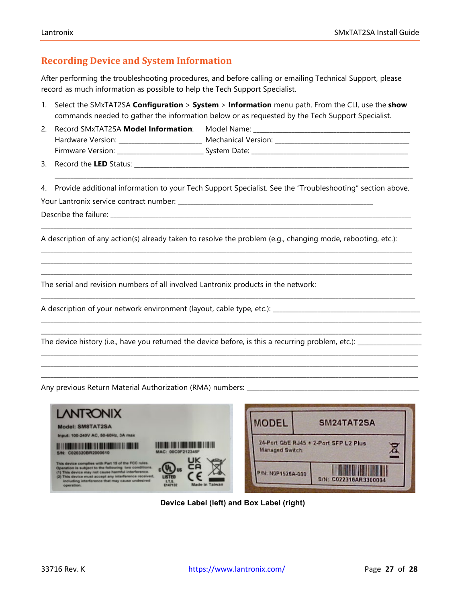## **Recording Device and System Information**

After performing the troubleshooting procedures, and before calling or emailing Technical Support, please record as much information as possible to help the Tech Support Specialist.

- 1. Select the SMxTAT2SA **Configuration** > **System** > **Information** menu path. From the CLI, use the **show** commands needed to gather the information below or as requested by the Tech Support Specialist.
- 2. Record SMxTAT2SA Model Information: Model Name: Hardware Version: \_\_\_\_\_\_\_\_\_\_\_\_\_\_\_\_\_\_\_\_\_\_\_\_\_\_\_ Mechanical Version: \_\_\_\_\_\_\_\_\_\_\_\_\_\_ Firmware Version: \_\_\_\_\_\_\_\_\_\_\_\_\_\_\_\_\_\_\_\_\_\_\_\_\_\_\_ System Date: \_\_\_\_\_\_\_\_\_\_\_\_\_\_\_\_\_\_\_\_\_\_\_\_\_\_\_\_\_\_\_\_\_\_\_\_\_\_\_\_\_\_\_\_\_\_\_\_\_

3. Record the **LED** Status: \_\_\_\_\_\_\_\_\_\_\_\_\_\_\_\_\_\_\_\_\_\_\_\_\_\_\_\_\_\_\_\_\_\_\_\_\_\_\_\_\_\_\_\_\_\_\_\_\_\_\_\_\_\_\_\_\_\_\_\_\_\_\_\_\_\_\_\_\_\_\_\_\_\_\_\_\_\_\_\_\_\_\_\_\_\_

4. Provide additional information to your Tech Support Specialist. See the "Troubleshooting" section above.

\_\_\_\_\_\_\_\_\_\_\_\_\_\_\_\_\_\_\_\_\_\_\_\_\_\_\_\_\_\_\_\_\_\_\_\_\_\_\_\_\_\_\_\_\_\_\_\_\_\_\_\_\_\_\_\_\_\_\_\_\_\_\_\_\_\_\_\_\_\_\_\_\_\_\_\_\_\_\_\_\_\_\_\_\_\_\_\_\_\_\_\_\_\_\_\_\_\_\_\_\_\_\_\_\_\_\_\_\_\_\_\_\_\_\_\_

\_\_\_\_\_\_\_\_\_\_\_\_\_\_\_\_\_\_\_\_\_\_\_\_\_\_\_\_\_\_\_\_\_\_\_\_\_\_\_\_\_\_\_\_\_\_\_\_\_\_\_\_\_\_\_\_\_\_\_\_\_\_\_\_\_\_\_\_\_\_\_\_\_\_\_\_\_\_\_\_\_\_\_\_\_\_\_\_\_\_\_\_\_\_\_\_\_\_\_\_\_\_\_\_\_\_\_\_\_\_\_\_\_\_\_\_ \_\_\_\_\_\_\_\_\_\_\_\_\_\_\_\_\_\_\_\_\_\_\_\_\_\_\_\_\_\_\_\_\_\_\_\_\_\_\_\_\_\_\_\_\_\_\_\_\_\_\_\_\_\_\_\_\_\_\_\_\_\_\_\_\_\_\_\_\_\_\_\_\_\_\_\_\_\_\_\_\_\_\_\_\_\_\_\_\_\_\_\_\_\_\_\_\_\_\_\_\_\_\_\_\_\_\_\_\_\_\_\_\_\_\_\_ \_\_\_\_\_\_\_\_\_\_\_\_\_\_\_\_\_\_\_\_\_\_\_\_\_\_\_\_\_\_\_\_\_\_\_\_\_\_\_\_\_\_\_\_\_\_\_\_\_\_\_\_\_\_\_\_\_\_\_\_\_\_\_\_\_\_\_\_\_\_\_\_\_\_\_\_\_\_\_\_\_\_\_\_\_\_\_\_\_\_\_\_\_\_\_\_\_\_\_\_\_\_\_\_\_\_\_\_\_\_\_\_\_\_\_\_

\_\_\_\_\_\_\_\_\_\_\_\_\_\_\_\_\_\_\_\_\_\_\_\_\_\_\_\_\_\_\_\_\_\_\_\_\_\_\_\_\_\_\_\_\_\_\_\_\_\_\_\_\_\_\_\_\_\_\_\_\_\_\_\_\_\_\_\_\_\_\_\_\_\_\_\_\_\_\_\_\_\_\_\_\_\_\_\_\_\_\_\_\_\_\_\_\_\_\_\_\_\_\_\_\_\_\_\_\_\_\_\_\_\_\_\_\_

\_\_\_\_\_\_\_\_\_\_\_\_\_\_\_\_\_\_\_\_\_\_\_\_\_\_\_\_\_\_\_\_\_\_\_\_\_\_\_\_\_\_\_\_\_\_\_\_\_\_\_\_\_\_\_\_\_\_\_\_\_\_\_\_\_\_\_\_\_\_\_\_\_\_\_\_\_\_\_\_\_\_\_\_\_\_\_\_\_\_\_\_\_\_\_\_\_\_\_\_\_\_\_\_\_\_\_\_\_\_\_\_\_\_\_\_\_\_\_ \_\_\_\_\_\_\_\_\_\_\_\_\_\_\_\_\_\_\_\_\_\_\_\_\_\_\_\_\_\_\_\_\_\_\_\_\_\_\_\_\_\_\_\_\_\_\_\_\_\_\_\_\_\_\_\_\_\_\_\_\_\_\_\_\_\_\_\_\_\_\_\_\_\_\_\_\_\_\_\_\_\_\_\_\_\_\_\_\_\_\_\_\_\_\_\_\_\_\_\_\_\_\_\_\_\_\_\_\_\_\_\_\_\_\_\_\_\_\_

\_\_\_\_\_\_\_\_\_\_\_\_\_\_\_\_\_\_\_\_\_\_\_\_\_\_\_\_\_\_\_\_\_\_\_\_\_\_\_\_\_\_\_\_\_\_\_\_\_\_\_\_\_\_\_\_\_\_\_\_\_\_\_\_\_\_\_\_\_\_\_\_\_\_\_\_\_\_\_\_\_\_\_\_\_\_\_\_\_\_\_\_\_\_\_\_\_\_\_\_\_\_\_\_\_\_\_\_\_\_\_\_\_\_\_\_\_\_ \_\_\_\_\_\_\_\_\_\_\_\_\_\_\_\_\_\_\_\_\_\_\_\_\_\_\_\_\_\_\_\_\_\_\_\_\_\_\_\_\_\_\_\_\_\_\_\_\_\_\_\_\_\_\_\_\_\_\_\_\_\_\_\_\_\_\_\_\_\_\_\_\_\_\_\_\_\_\_\_\_\_\_\_\_\_\_\_\_\_\_\_\_\_\_\_\_\_\_\_\_\_\_\_\_\_\_\_\_\_\_\_\_\_\_\_\_\_ \_\_\_\_\_\_\_\_\_\_\_\_\_\_\_\_\_\_\_\_\_\_\_\_\_\_\_\_\_\_\_\_\_\_\_\_\_\_\_\_\_\_\_\_\_\_\_\_\_\_\_\_\_\_\_\_\_\_\_\_\_\_\_\_\_\_\_\_\_\_\_\_\_\_\_\_\_\_\_\_\_\_\_\_\_\_\_\_\_\_\_\_\_\_\_\_\_\_\_\_\_\_\_\_\_\_\_\_\_\_\_\_\_\_\_\_\_\_

\_\_\_\_\_\_\_\_\_\_\_\_\_\_\_\_\_\_\_\_\_\_\_\_\_\_\_\_\_\_\_\_\_\_\_\_\_\_\_\_\_\_\_\_\_\_\_\_\_\_\_\_\_\_\_\_\_\_\_\_\_\_\_\_\_\_\_\_\_\_\_\_\_\_\_\_\_\_\_\_\_\_\_\_\_\_\_\_\_\_\_\_\_\_\_\_\_\_\_\_\_\_\_\_\_\_\_\_\_\_\_\_

Your Lantronix service contract number: \_\_\_\_\_

Describe the failure:

A description of any action(s) already taken to resolve the problem (e.g., changing mode, rebooting, etc.):

The serial and revision numbers of all involved Lantronix products in the network:

A description of your network environment (layout, cable type, etc.): \_\_\_\_\_\_\_\_\_\_\_\_\_\_\_\_\_\_\_\_\_\_\_\_\_\_\_\_\_\_\_\_\_\_\_\_\_\_\_\_\_\_\_\_\_\_

The device history (i.e., have you returned the device before, is this a recurring problem, etc.): \_\_\_\_\_\_\_\_\_\_\_\_\_\_\_\_\_\_\_\_

Any previous Return Material Authorization (RMA) numbers:



**Device Label (left) and Box Label (right)**

⊠

SM24TAT2SA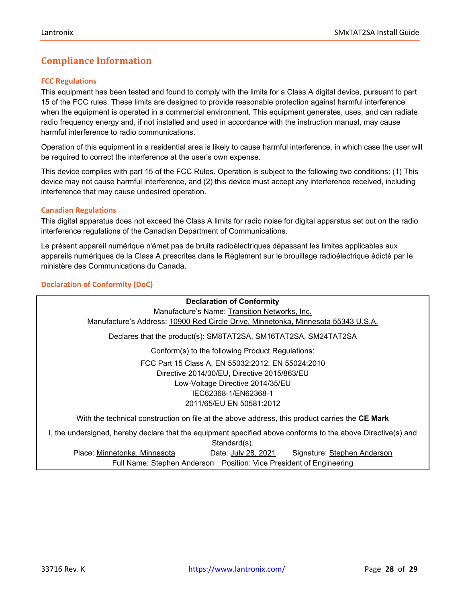## <span id="page-27-0"></span>**Compliance Information**

#### <span id="page-27-1"></span>**FCC Regulations**

This equipment has been tested and found to comply with the limits for a Class A digital device, pursuant to part 15 of the FCC rules. These limits are designed to provide reasonable protection against harmful interference when the equipment is operated in a commercial environment. This equipment generates, uses, and can radiate radio frequency energy and, if not installed and used in accordance with the instruction manual, may cause harmful interference to radio communications.

Operation of this equipment in a residential area is likely to cause harmful interference, in which case the user will be required to correct the interference at the user's own expense.

This device complies with part 15 of the FCC Rules. Operation is subject to the following two conditions: (1) This device may not cause harmful interference, and (2) this device must accept any interference received, including interference that may cause undesired operation.

#### <span id="page-27-2"></span>**Canadian Regulations**

This digital apparatus does not exceed the Class A limits for radio noise for digital apparatus set out on the radio interference regulations of the Canadian Department of Communications.

Le présent appareil numérique n'émet pas de bruits radioélectriques dépassant les limites applicables aux appareils numériques de la Class A prescrites dans le Règlement sur le brouillage radioélectrique édicté par le ministère des Communications du Canada.

## <span id="page-27-3"></span>**Declaration of Conformity (DoC)**

<span id="page-27-4"></span>**Declaration of Conformity** Manufacture's Name: Transition Networks, Inc. Manufacture's Address: 10900 Red Circle Drive, Minnetonka, Minnesota 55343 U.S.A. Declares that the product(s): SM8TAT2SA, SM16TAT2SA, SM24TAT2SA Conform(s) to the following Product Regulations: FCC Part 15 Class A, EN 55032:2012, EN 55024:2010 Directive 2014/30/EU, Directive 2015/863/EU Low-Voltage Directive 2014/35/EU IEC62368-1/EN62368-1 2011/65/EU EN 50581:2012 With the technical construction on file at the above address, this product carries the **CE Mark** I, the undersigned, hereby declare that the equipment specified above conforms to the above Directive(s) and Standard(s). Place: Minnetonka, Minnesota Date: July 28, 2021 Signature: Stephen Anderson Full Name: Stephen Anderson Position: Vice President of Engineering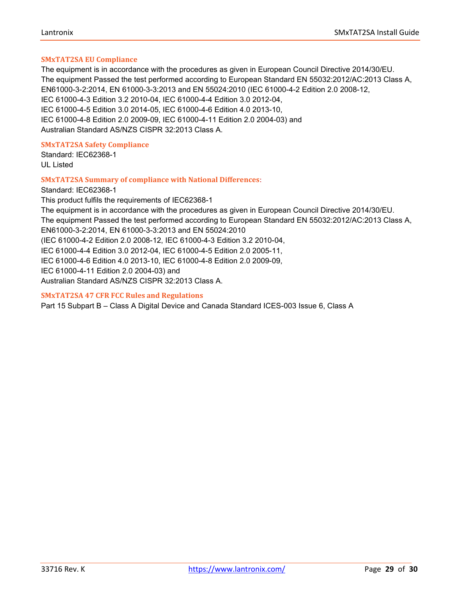#### **SMxTAT2SA EU Compliance**

The equipment is in accordance with the procedures as given in European Council Directive 2014/30/EU. The equipment Passed the test performed according to European Standard EN 55032:2012/AC:2013 Class A, EN61000-3-2:2014, EN 61000-3-3:2013 and EN 55024:2010 (IEC 61000-4-2 Edition 2.0 2008-12, IEC 61000-4-3 Edition 3.2 2010-04, IEC 61000-4-4 Edition 3.0 2012-04, IEC 61000-4-5 Edition 3.0 2014-05, IEC 61000-4-6 Edition 4.0 2013-10, IEC 61000-4-8 Edition 2.0 2009-09, IEC 61000-4-11 Edition 2.0 2004-03) and Australian Standard AS/NZS CISPR 32:2013 Class A.

#### <span id="page-28-1"></span>**SMxTAT2SA Safety Compliance**

Standard: IEC62368-1 UL Listed

#### <span id="page-28-2"></span>**SMxTAT2SA Summary of compliance with National Differences**:

Standard: IEC62368-1 This product fulfils the requirements of IEC62368-1 The equipment is in accordance with the procedures as given in European Council Directive 2014/30/EU. The equipment Passed the test performed according to European Standard EN 55032:2012/AC:2013 Class A, EN61000-3-2:2014, EN 61000-3-3:2013 and EN 55024:2010 (IEC 61000-4-2 Edition 2.0 2008-12, IEC 61000-4-3 Edition 3.2 2010-04, IEC 61000-4-4 Edition 3.0 2012-04, IEC 61000-4-5 Edition 2.0 2005-11, IEC 61000-4-6 Edition 4.0 2013-10, IEC 61000-4-8 Edition 2.0 2009-09, IEC 61000-4-11 Edition 2.0 2004-03) and Australian Standard AS/NZS CISPR 32:2013 Class A.

#### <span id="page-28-3"></span>**SMxTAT2SA 47 CFR FCC Rules and Regulations**

<span id="page-28-4"></span><span id="page-28-0"></span>Part 15 Subpart B – Class A Digital Device and Canada Standard ICES-003 Issue 6, Class A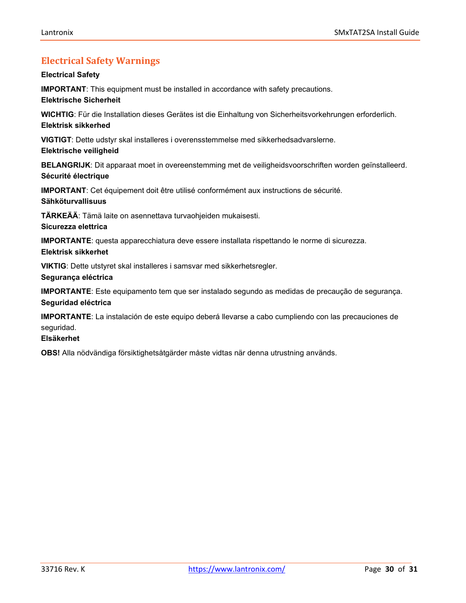## **Electrical Safety Warnings**

#### **Electrical Safety**

**IMPORTANT**: This equipment must be installed in accordance with safety precautions.

#### **Elektrische Sicherheit**

**WICHTIG**: Für die Installation dieses Gerätes ist die Einhaltung von Sicherheitsvorkehrungen erforderlich. **Elektrisk sikkerhed**

**VIGTIGT**: Dette udstyr skal installeres i overensstemmelse med sikkerhedsadvarslerne.

#### **Elektrische veiligheid**

**BELANGRIJK**: Dit apparaat moet in overeenstemming met de veiligheidsvoorschriften worden geïnstalleerd. **Sécurité électrique**

**IMPORTANT**: Cet équipement doit être utilisé conformément aux instructions de sécurité. **Sähköturvallisuus**

**TÄRKEÄÄ**: Tämä laite on asennettava turvaohjeiden mukaisesti.

#### **Sicurezza elettrica**

**IMPORTANTE**: questa apparecchiatura deve essere installata rispettando le norme di sicurezza.

## **Elektrisk sikkerhet**

**VIKTIG**: Dette utstyret skal installeres i samsvar med sikkerhetsregler.

#### **Segurança eléctrica**

**IMPORTANTE**: Este equipamento tem que ser instalado segundo as medidas de precaução de segurança. **Seguridad eléctrica**

**IMPORTANTE**: La instalación de este equipo deberá llevarse a cabo cumpliendo con las precauciones de seguridad.

## **Elsäkerhet**

**OBS!** Alla nödvändiga försiktighetsåtgärder måste vidtas när denna utrustning används.